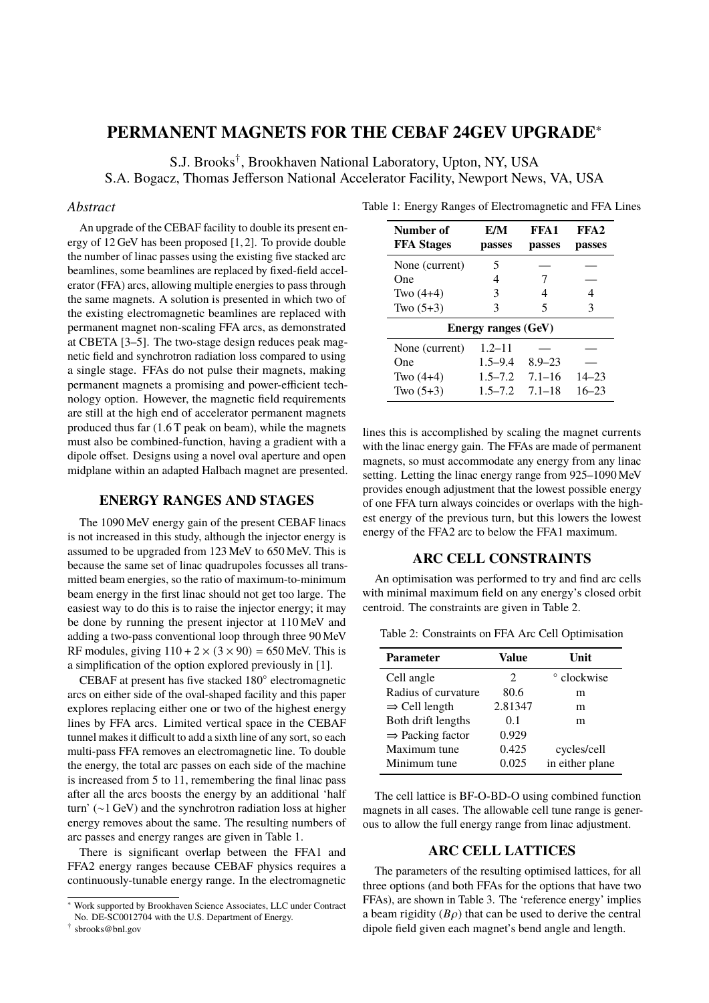# **PERMANENT MAGNETS FOR THE CEBAF 24GEV UPGRADE**<sup>∗</sup>

S.J. Brooks† , Brookhaven National Laboratory, Upton, NY, USA S.A. Bogacz, Thomas Jefferson National Accelerator Facility, Newport News, VA, USA

#### *Abstract*

An upgrade of the CEBAF facility to double its present energy of 12 GeV has been proposed [1, 2]. To provide double the number of linac passes using the existing five stacked arc beamlines, some beamlines are replaced by fixed-field accelerator (FFA) arcs, allowing multiple energies to pass through the same magnets. A solution is presented in which two of the existing electromagnetic beamlines are replaced with permanent magnet non-scaling FFA arcs, as demonstrated at CBETA [3–5]. The two-stage design reduces peak magnetic field and synchrotron radiation loss compared to using a single stage. FFAs do not pulse their magnets, making permanent magnets a promising and power-efficient technology option. However, the magnetic field requirements are still at the high end of accelerator permanent magnets produced thus far (1.6 T peak on beam), while the magnets must also be combined-function, having a gradient with a dipole offset. Designs using a novel oval aperture and open midplane within an adapted Halbach magnet are presented.

### **ENERGY RANGES AND STAGES**

The 1090 MeV energy gain of the present CEBAF linacs is not increased in this study, although the injector energy is assumed to be upgraded from 123 MeV to 650 MeV. This is because the same set of linac quadrupoles focusses all transmitted beam energies, so the ratio of maximum-to-minimum beam energy in the first linac should not get too large. The easiest way to do this is to raise the injector energy; it may be done by running the present injector at 110 MeV and adding a two-pass conventional loop through three 90 MeV RF modules, giving  $110 + 2 \times (3 \times 90) = 650$  MeV. This is a simplification of the option explored previously in [1].

CEBAF at present has five stacked 180◦ electromagnetic arcs on either side of the oval-shaped facility and this paper explores replacing either one or two of the highest energy lines by FFA arcs. Limited vertical space in the CEBAF tunnel makes it difficult to add a sixth line of any sort, so each multi-pass FFA removes an electromagnetic line. To double the energy, the total arc passes on each side of the machine is increased from 5 to 11, remembering the final linac pass after all the arcs boosts the energy by an additional 'half turn' (∼1 GeV) and the synchrotron radiation loss at higher energy removes about the same. The resulting numbers of arc passes and energy ranges are given in Table 1.

There is significant overlap between the FFA1 and FFA2 energy ranges because CEBAF physics requires a continuously-tunable energy range. In the electromagnetic

| Number of<br><b>FFA</b> Stages | E/M<br>passes | FFA1<br>passes | FFA <sub>2</sub><br>passes |  |  |
|--------------------------------|---------------|----------------|----------------------------|--|--|
| None (current)                 | 5             |                |                            |  |  |
| One                            | 4             | 7              |                            |  |  |
| Two $(4+4)$                    | 3             | 4              | 4                          |  |  |
| Two $(5+3)$                    | 3             | 5              | 3                          |  |  |
| <b>Energy ranges (GeV)</b>     |               |                |                            |  |  |
| None (current)                 | $1.2 - 11$    |                |                            |  |  |
| One                            | $1.5 - 9.4$   | $8.9 - 23$     |                            |  |  |
| Two $(4+4)$                    | $1.5 - 7.2$   | $7.1 - 16$     | $14 - 23$                  |  |  |
| Two $(5+3)$                    | $1.5 - 7.2$   | $7.1 - 18$     | $16 - 23$                  |  |  |

Table 1: Energy Ranges of Electromagnetic and FFA Lines

lines this is accomplished by scaling the magnet currents with the linac energy gain. The FFAs are made of permanent magnets, so must accommodate any energy from any linac setting. Letting the linac energy range from 925–1090 MeV provides enough adjustment that the lowest possible energy of one FFA turn always coincides or overlaps with the highest energy of the previous turn, but this lowers the lowest energy of the FFA2 arc to below the FFA1 maximum.

## **ARC CELL CONSTRAINTS**

An optimisation was performed to try and find arc cells with minimal maximum field on any energy's closed orbit centroid. The constraints are given in Table 2.

Table 2: Constraints on FFA Arc Cell Optimisation

| <b>Parameter</b>             | Value                       | Unit            |
|------------------------------|-----------------------------|-----------------|
| Cell angle                   | $\mathcal{D}_{\mathcal{L}}$ | ° clockwise     |
| Radius of curvature          | 80.6                        | m               |
| $\Rightarrow$ Cell length    | 2.81347                     | m               |
| Both drift lengths           | 0.1                         | m               |
| $\Rightarrow$ Packing factor | 0.929                       |                 |
| Maximum tune                 | 0.425                       | cycles/cell     |
| Minimum tune                 | 0.025                       | in either plane |

The cell lattice is BF-O-BD-O using combined function magnets in all cases. The allowable cell tune range is generous to allow the full energy range from linac adjustment.

#### **ARC CELL LATTICES**

The parameters of the resulting optimised lattices, for all three options (and both FFAs for the options that have two FFAs), are shown in Table 3. The 'reference energy' implies a beam rigidity  $(B\rho)$  that can be used to derive the central dipole field given each magnet's bend angle and length.

<sup>∗</sup> Work supported by Brookhaven Science Associates, LLC under Contract No. DE-SC0012704 with the U.S. Department of Energy.

<sup>†</sup> sbrooks@bnl.gov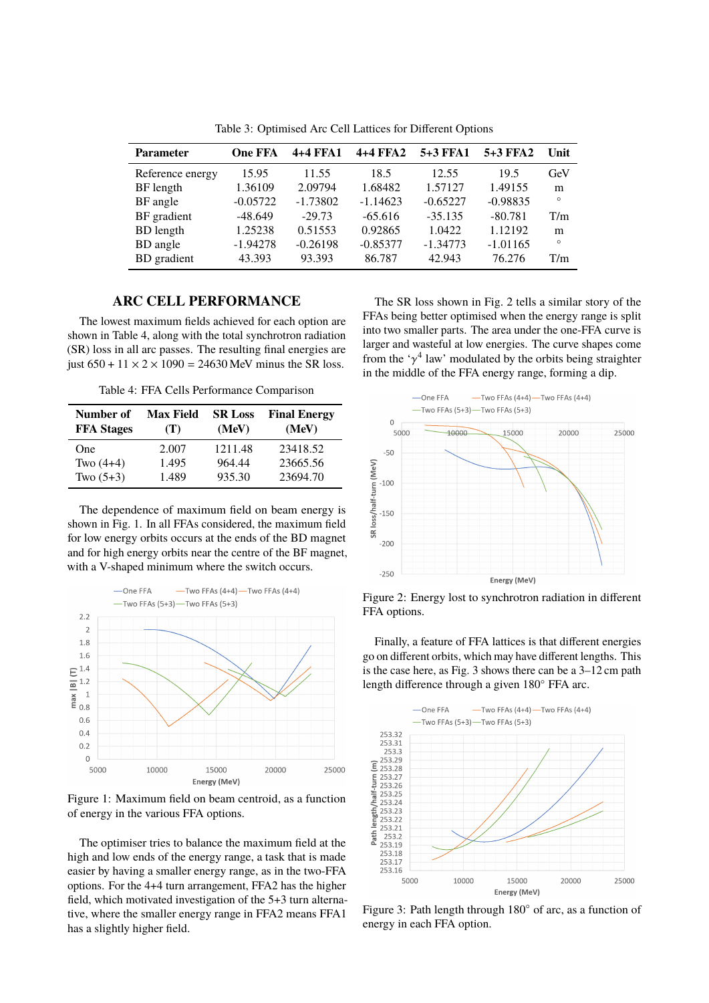| <b>Parameter</b> | <b>One FFA</b> | 4+4 FFA1   | 4+4 FFA2   | 5+3 FFA1   | 5+3 FFA2   | Unit    |
|------------------|----------------|------------|------------|------------|------------|---------|
| Reference energy | 15.95          | 11.55      | 18.5       | 12.55      | 19.5       | GeV     |
| BF length        | 1.36109        | 2.09794    | 1.68482    | 1.57127    | 1.49155    | m       |
| BF angle         | $-0.05722$     | $-1.73802$ | $-1.14623$ | $-0.65227$ | $-0.98835$ | $\circ$ |
| BF gradient      | $-48.649$      | $-29.73$   | $-65.616$  | $-35.135$  | $-80.781$  | T/m     |
| <b>BD</b> length | 1.25238        | 0.51553    | 0.92865    | 1.0422     | 1.12192    | m       |
| BD angle         | $-1.94278$     | $-0.26198$ | $-0.85377$ | $-1.34773$ | $-1.01165$ | $\circ$ |
| BD gradient      | 43.393         | 93.393     | 86.787     | 42.943     | 76.276     | T/m     |

Table 3: Optimised Arc Cell Lattices for Different Options

#### **ARC CELL PERFORMANCE**

The lowest maximum fields achieved for each option are shown in Table 4, along with the total synchrotron radiation (SR) loss in all arc passes. The resulting final energies are just  $650 + 11 \times 2 \times 1090 = 24630$  MeV minus the SR loss.

Table 4: FFA Cells Performance Comparison

| Number of<br><b>FFA Stages</b> | <b>Max Field</b><br>(T) | <b>SR Loss</b><br>(MeV) | <b>Final Energy</b><br>(MeV) |
|--------------------------------|-------------------------|-------------------------|------------------------------|
| One                            | 2.007                   | 1211.48                 | 23418.52                     |
| Two $(4+4)$                    | 1.495                   | 964.44                  | 23665.56                     |
| Two $(5+3)$                    | 1.489                   | 935.30                  | 23694.70                     |

The dependence of maximum field on beam energy is shown in Fig. 1. In all FFAs considered, the maximum field for low energy orbits occurs at the ends of the BD magnet and for high energy orbits near the centre of the BF magnet, with a V-shaped minimum where the switch occurs.



Figure 1: Maximum field on beam centroid, as a function of energy in the various FFA options.

The optimiser tries to balance the maximum field at the high and low ends of the energy range, a task that is made easier by having a smaller energy range, as in the two-FFA options. For the 4+4 turn arrangement, FFA2 has the higher field, which motivated investigation of the 5+3 turn alternative, where the smaller energy range in FFA2 means FFA1 has a slightly higher field.

The SR loss shown in Fig. 2 tells a similar story of the FFAs being better optimised when the energy range is split into two smaller parts. The area under the one-FFA curve is larger and wasteful at low energies. The curve shapes come from the ' $\gamma^4$  law' modulated by the orbits being straighter in the middle of the FFA energy range, forming a dip.



Figure 2: Energy lost to synchrotron radiation in different FFA options.

Finally, a feature of FFA lattices is that different energies go on different orbits, which may have different lengths. This is the case here, as Fig. 3 shows there can be a 3–12 cm path length difference through a given 180◦ FFA arc.



Figure 3: Path length through 180◦ of arc, as a function of energy in each FFA option.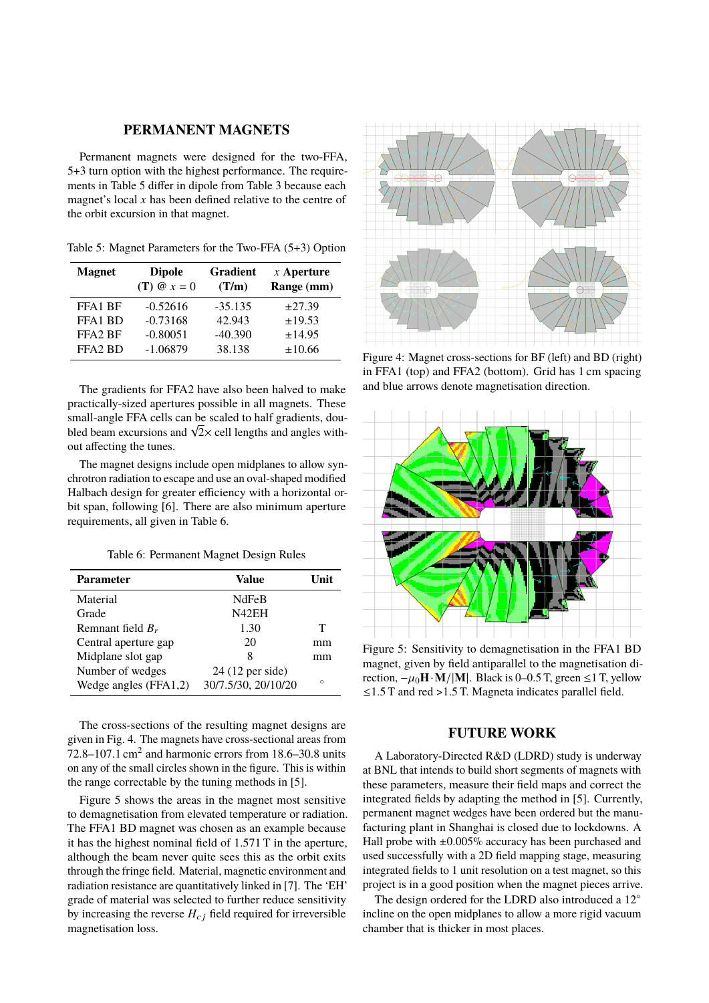#### **PERMANENT MAGNETS**

Permanent magnets were designed for the two-FFA, 5+3 turn option with the highest performance. The requirements in Table 5 differ in dipole from Table 3 because each magnet's local  $x$  has been defined relative to the centre of the orbit excursion in that magnet.

Table 5: Magnet Parameters for the Two-FFA (5+3) Option

| <b>Magnet</b>                   | <b>Dipole</b><br>$(T) @ x = 0$ | <b>Gradient</b><br>(T/m) | $x$ Aperture<br>Range (mm) |
|---------------------------------|--------------------------------|--------------------------|----------------------------|
| FFA1 BF                         | $-0.52616$                     | $-35.135$                | $\pm 27.39$                |
| FFA <sub>1</sub> B <sub>D</sub> | $-0.73168$                     | 42.943                   | ±19.53                     |
| FFA <sub>2</sub> RF             | $-0.80051$                     | $-40.390$                | ±14.95                     |
| FFA <sub>2</sub> B <sub>D</sub> | $-1.06879$                     | 38.138                   | ±10.66                     |

The gradients for FFA2 have also been halved to make practically-sized apertures possible in all magnets. These small-angle FFA cells can be scaled to half gradients, dousmall-angle FFA cells can be scaled to half gradients, dou-<br>bled beam excursions and  $\sqrt{2} \times$  cell lengths and angles without affecting the tunes.

The magnet designs include open midplanes to allow synchrotron radiation to escape and use an oval-shaped modified Halbach design for greater efficiency with a horizontal orbit span, following [6]. There are also minimum aperture requirements, all given in Table 6.

Table 6: Permanent Magnet Design Rules

| <b>Parameter</b>        | Value               | ∐nit    |
|-------------------------|---------------------|---------|
| Material                | NdFeB               |         |
| Grade                   | N42EH               |         |
| Remnant field $B_r$     | 1.30                | т       |
| Central aperture gap    | 20                  | mm      |
| Midplane slot gap       | 8                   | mm      |
| Number of wedges        | 24 (12 per side)    |         |
| Wedge angles $(FFA1,2)$ | 30/7.5/30, 20/10/20 | $\circ$ |

The cross-sections of the resulting magnet designs are given in Fig. 4. The magnets have cross-sectional areas from 72.8–107.1 cm<sup>2</sup> and harmonic errors from 18.6–30.8 units on any of the small circles shown in the figure. This is within the range correctable by the tuning methods in [5].

Figure 5 shows the areas in the magnet most sensitive to demagnetisation from elevated temperature or radiation. The FFA1 BD magnet was chosen as an example because it has the highest nominal field of 1.571 T in the aperture, although the beam never quite sees this as the orbit exits through the fringe field. Material, magnetic environment and radiation resistance are quantitatively linked in [7]. The 'EH' grade of material was selected to further reduce sensitivity by increasing the reverse  $H_{cj}$  field required for irreversible magnetisation loss.



Figure 4: Magnet cross-sections for BF (left) and BD (right) in FFA1 (top) and FFA2 (bottom). Grid has 1 cm spacing and blue arrows denote magnetisation direction.



Figure 5: Sensitivity to demagnetisation in the FFA1 BD magnet, given by field antiparallel to the magnetisation direction,  $-\mu_0 \mathbf{H} \cdot \mathbf{M}/|\mathbf{M}|$ . Black is 0–0.5 T, green ≤1 T, yellow ≤1.5 T and red >1.5 T. Magneta indicates parallel field.

### **FUTURE WORK**

A Laboratory-Directed R&D (LDRD) study is underway at BNL that intends to build short segments of magnets with these parameters, measure their field maps and correct the integrated fields by adapting the method in [5]. Currently, permanent magnet wedges have been ordered but the manufacturing plant in Shanghai is closed due to lockdowns. A Hall probe with  $\pm 0.005\%$  accuracy has been purchased and used successfully with a 2D field mapping stage, measuring integrated fields to 1 unit resolution on a test magnet, so this project is in a good position when the magnet pieces arrive.

The design ordered for the LDRD also introduced a 12° incline on the open midplanes to allow a more rigid vacuum chamber that is thicker in most places.